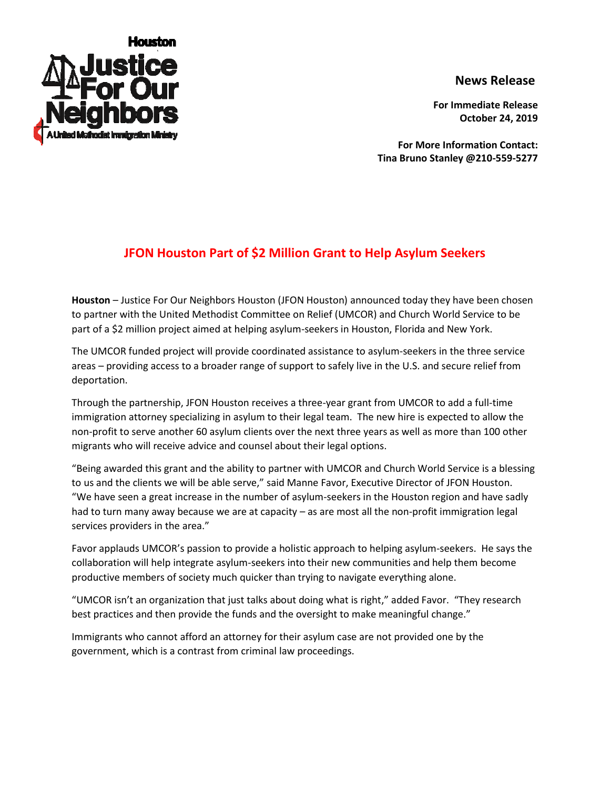

## **News Release**

**For Immediate Release October 24, 2019**

**For More Information Contact: Tina Bruno Stanley @210-559-5277**

## **JFON Houston Part of \$2 Million Grant to Help Asylum Seekers**

**Houston** – Justice For Our Neighbors Houston (JFON Houston) announced today they have been chosen to partner with the United Methodist Committee on Relief (UMCOR) and Church World Service to be part of a \$2 million project aimed at helping asylum-seekers in Houston, Florida and New York.

The UMCOR funded project will provide coordinated assistance to asylum-seekers in the three service areas – providing access to a broader range of support to safely live in the U.S. and secure relief from deportation.

Through the partnership, JFON Houston receives a three-year grant from UMCOR to add a full-time immigration attorney specializing in asylum to their legal team. The new hire is expected to allow the non-profit to serve another 60 asylum clients over the next three years as well as more than 100 other migrants who will receive advice and counsel about their legal options.

"Being awarded this grant and the ability to partner with UMCOR and Church World Service is a blessing to us and the clients we will be able serve," said Manne Favor, Executive Director of JFON Houston. "We have seen a great increase in the number of asylum-seekers in the Houston region and have sadly had to turn many away because we are at capacity – as are most all the non-profit immigration legal services providers in the area."

Favor applauds UMCOR's passion to provide a holistic approach to helping asylum-seekers. He says the collaboration will help integrate asylum-seekers into their new communities and help them become productive members of society much quicker than trying to navigate everything alone.

"UMCOR isn't an organization that just talks about doing what is right," added Favor. "They research best practices and then provide the funds and the oversight to make meaningful change."

Immigrants who cannot afford an attorney for their asylum case are not provided one by the government, which is a contrast from criminal law proceedings.